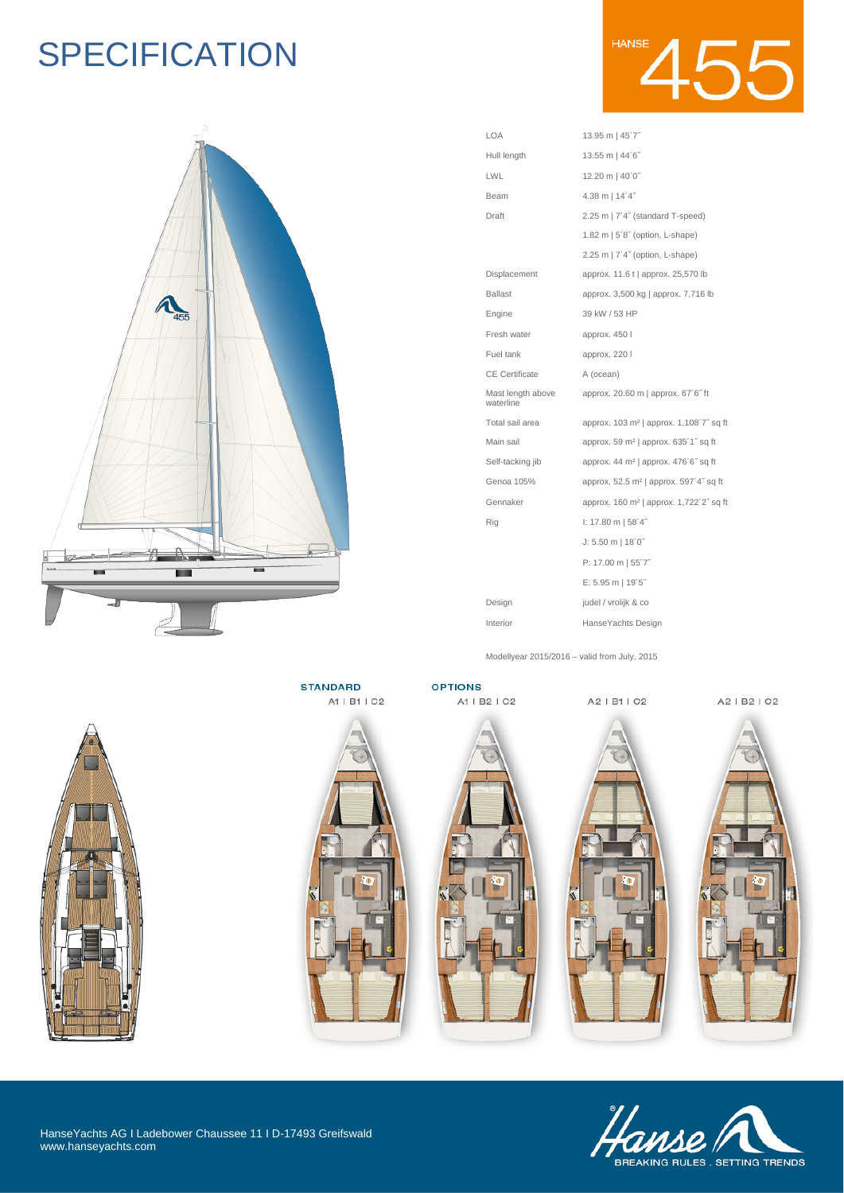# **SPECIFICATION**



| LOA                            | 13.95 m   45'7"                                     |
|--------------------------------|-----------------------------------------------------|
| Hull length                    | 13.55 m   44'6"                                     |
| LWL                            | 12.20 m   40'0"                                     |
| Beam                           | 4.38 m   14'4"                                      |
| Draft                          | 2.25 m   7'4" (standard T-speed)                    |
|                                | 1.82 m   5'8" (option, L-shape)                     |
|                                | 2.25 m   7'4" (option, L-shape)                     |
| Displacement                   | approx. 11.6 t   approx. 25,570 lb                  |
| <b>Ballast</b>                 | approx. 3,500 kg   approx. 7,716 lb                 |
| Engine                         | 39 kW / 53 HP                                       |
| Fresh water                    | approx. 450 l                                       |
| Fuel tank                      | approx. 220 l                                       |
| <b>CE</b> Certificate          | A (ocean)                                           |
| Mast length above<br>waterline | approx. 20.60 m   approx. 67'6" ft                  |
| Total sail area                | approx. 103 m <sup>2</sup>   approx. 1,108'7" sq ft |
| Main sail                      | approx. 59 m <sup>2</sup>   approx. 635'1" sq ft    |
| Self-tacking jib               | approx. 44 m <sup>2</sup>   approx. 476'6" sq ft    |
| Genoa 105%                     | approx. 52.5 m <sup>2</sup>   approx. 597'4" sq ft  |
| Gennaker                       | approx. 160 m <sup>2</sup>   approx. 1,722'2" sq ft |
| Rig                            | $1: 17.80 \text{ m}$   58'4"                        |
|                                | $J: 5.50 \text{ m}$   18'0"                         |
|                                | P: 17.00 m   55'7"                                  |
|                                | E: 5.95 m   19'5"                                   |
| Design                         | judel / vrolijk & co                                |
|                                |                                                     |

Modellyear 2015/2016 – valid from July, 2015

Interior HanseYachts Design



**STANDARD** 



**OPTIONS** A1 | B2 | C2

A2 | B1 | C2

A2 | B2 | C2











HanseYachts AG I Ladebower Chaussee 11 I D-17493 Greifswald www.hanseyachts.com